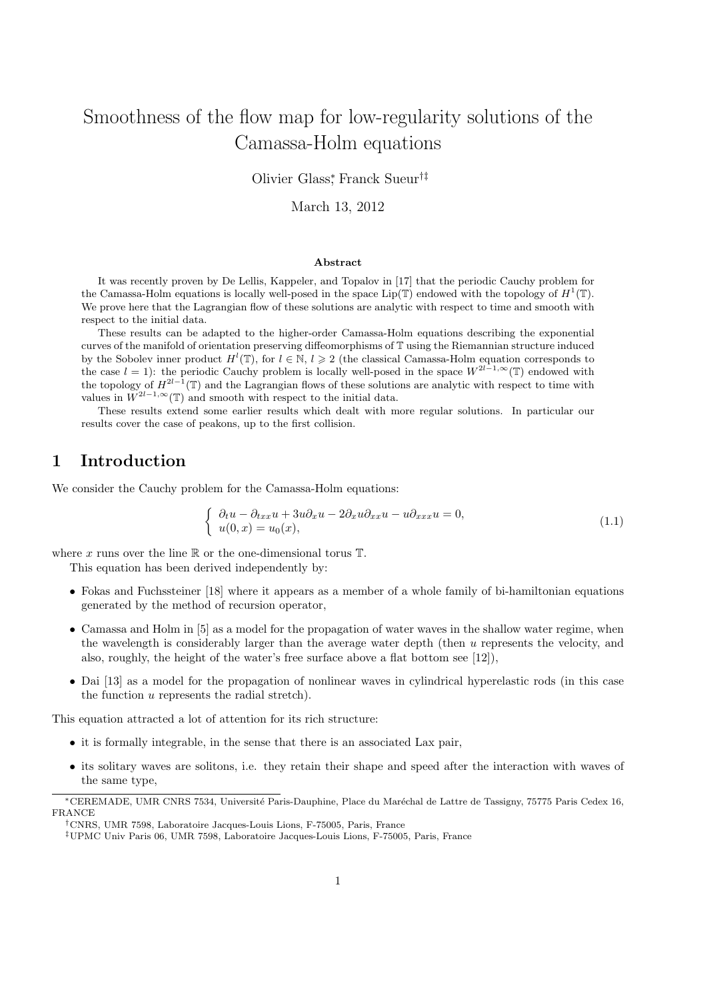# Smoothness of the flow map for low-regularity solutions of the Camassa-Holm equations

Olivier Glass<sup>∗</sup> , Franck Sueur†‡

March 13, 2012

#### Abstract

It was recently proven by De Lellis, Kappeler, and Topalov in [17] that the periodic Cauchy problem for the Camassa-Holm equations is locally well-posed in the space Lip( $\mathbb{T}$ ) endowed with the topology of  $H^1(\mathbb{T})$ . We prove here that the Lagrangian flow of these solutions are analytic with respect to time and smooth with respect to the initial data.

These results can be adapted to the higher-order Camassa-Holm equations describing the exponential curves of the manifold of orientation preserving diffeomorphisms of T using the Riemannian structure induced by the Sobolev inner product  $H^l(\mathbb{T})$ , for  $l \in \mathbb{N}$ ,  $l \geq 2$  (the classical Camassa-Holm equation corresponds to the case  $l = 1$ ): the periodic Cauchy problem is locally well-posed in the space  $W^{2l-1,\infty}(\mathbb{T})$  endowed with the topology of  $H^{2l-1}(\mathbb{T})$  and the Lagrangian flows of these solutions are analytic with respect to time with values in  $W^{2l-1,\infty}(\mathbb{T})$  and smooth with respect to the initial data.

These results extend some earlier results which dealt with more regular solutions. In particular our results cover the case of peakons, up to the first collision.

## 1 Introduction

We consider the Cauchy problem for the Camassa-Holm equations:

$$
\begin{cases}\n\partial_t u - \partial_{txx} u + 3u \partial_x u - 2 \partial_x u \partial_{xx} u - u \partial_{xxx} u = 0, \\
u(0, x) = u_0(x),\n\end{cases}
$$
\n(1.1)

where x runs over the line  $\mathbb R$  or the one-dimensional torus  $\mathbb T$ .

This equation has been derived independently by:

- Fokas and Fuchssteiner [18] where it appears as a member of a whole family of bi-hamiltonian equations generated by the method of recursion operator,
- Camassa and Holm in [5] as a model for the propagation of water waves in the shallow water regime, when the wavelength is considerably larger than the average water depth (then u represents the velocity, and also, roughly, the height of the water's free surface above a flat bottom see [12]),
- Dai [13] as a model for the propagation of nonlinear waves in cylindrical hyperelastic rods (in this case the function u represents the radial stretch).

This equation attracted a lot of attention for its rich structure:

- it is formally integrable, in the sense that there is an associated Lax pair,
- its solitary waves are solitons, i.e. they retain their shape and speed after the interaction with waves of the same type,

<sup>∗</sup>CEREMADE, UMR CNRS 7534, Universit´e Paris-Dauphine, Place du Mar´echal de Lattre de Tassigny, 75775 Paris Cedex 16, FRANCE

<sup>†</sup>CNRS, UMR 7598, Laboratoire Jacques-Louis Lions, F-75005, Paris, France

<sup>‡</sup>UPMC Univ Paris 06, UMR 7598, Laboratoire Jacques-Louis Lions, F-75005, Paris, France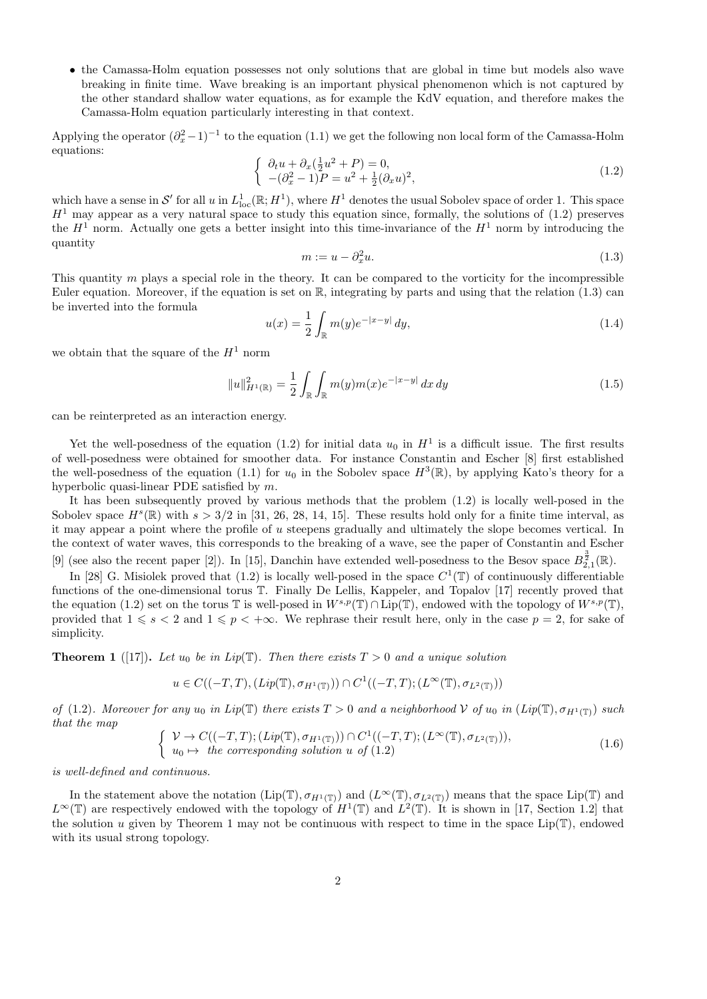• the Camassa-Holm equation possesses not only solutions that are global in time but models also wave breaking in finite time. Wave breaking is an important physical phenomenon which is not captured by the other standard shallow water equations, as for example the KdV equation, and therefore makes the Camassa-Holm equation particularly interesting in that context.

Applying the operator  $(\partial_x^2 - 1)^{-1}$  to the equation (1.1) we get the following non local form of the Camassa-Holm equations:

$$
\begin{cases} \n\partial_t u + \partial_x (\frac{1}{2}u^2 + P) = 0, \\
-(\partial_x^2 - 1)P = u^2 + \frac{1}{2}(\partial_x u)^2,\n\end{cases} \tag{1.2}
$$

which have a sense in S' for all u in  $L^1_{loc}(\mathbb{R}; H^1)$ , where  $H^1$  denotes the usual Sobolev space of order 1. This space  $H<sup>1</sup>$  may appear as a very natural space to study this equation since, formally, the solutions of (1.2) preserves the  $H^1$  norm. Actually one gets a better insight into this time-invariance of the  $H^1$  norm by introducing the quantity

$$
m := u - \partial_x^2 u. \tag{1.3}
$$

This quantity  $m$  plays a special role in the theory. It can be compared to the vorticity for the incompressible Euler equation. Moreover, if the equation is set on  $\mathbb{R}$ , integrating by parts and using that the relation (1.3) can be inverted into the formula

$$
u(x) = \frac{1}{2} \int_{\mathbb{R}} m(y)e^{-|x-y|} dy,
$$
\n(1.4)

we obtain that the square of the  $H^1$  norm

$$
||u||_{H^{1}(\mathbb{R})}^{2} = \frac{1}{2} \int_{\mathbb{R}} \int_{\mathbb{R}} m(y) m(x) e^{-|x-y|} dx dy
$$
\n(1.5)

can be reinterpreted as an interaction energy.

Yet the well-posedness of the equation (1.2) for initial data  $u_0$  in  $H^1$  is a difficult issue. The first results of well-posedness were obtained for smoother data. For instance Constantin and Escher [8] first established the well-posedness of the equation (1.1) for  $u_0$  in the Sobolev space  $H^3(\mathbb{R})$ , by applying Kato's theory for a hyperbolic quasi-linear PDE satisfied by m.

It has been subsequently proved by various methods that the problem (1.2) is locally well-posed in the Sobolev space  $H^s(\mathbb{R})$  with  $s > 3/2$  in [31, 26, 28, 14, 15]. These results hold only for a finite time interval, as it may appear a point where the profile of  $u$  steepens gradually and ultimately the slope becomes vertical. In the context of water waves, this corresponds to the breaking of a wave, see the paper of Constantin and Escher [9] (see also the recent paper [2]). In [15], Danchin have extended well-posedness to the Besov space  $B_{2,1}^{\frac{3}{2}}(\mathbb{R})$ .

In [28] G. Misiolek proved that (1.2) is locally well-posed in the space  $C^1(\mathbb{T})$  of continuously differentiable functions of the one-dimensional torus T. Finally De Lellis, Kappeler, and Topalov [17] recently proved that the equation (1.2) set on the torus T is well-posed in  $W^{s,p}(\mathbb{T}) \cap \text{Lip}(\mathbb{T})$ , endowed with the topology of  $W^{s,p}(\mathbb{T})$ , provided that  $1 \leq s < 2$  and  $1 \leq p < +\infty$ . We rephrase their result here, only in the case  $p = 2$ , for sake of simplicity.

**Theorem 1** ([17]). Let  $u_0$  be in Lip(T). Then there exists  $T > 0$  and a unique solution

$$
u \in C((-T,T), (Lip(\mathbb{T}), \sigma_{H^1(\mathbb{T})})) \cap C^1((-T,T); (L^{\infty}(\mathbb{T}), \sigma_{L^2(\mathbb{T})}))
$$

of (1.2). Moreover for any  $u_0$  in Lip(T) there exists  $T > 0$  and a neighborhood V of  $u_0$  in  $(Lip(T), \sigma_{H^1(T)})$  such that the map  $\sqrt{C(1-\pi \pi)}$  ( $\tau$ )  $\sqrt{\pi}$ 

$$
\begin{cases}\n\mathcal{V} \to C((-T,T);(Lip(\mathbb{T}),\sigma_{H^1(\mathbb{T})})) \cap C^1((-T,T);(L^{\infty}(\mathbb{T}),\sigma_{L^2(\mathbb{T})})),\\ u_0 \mapsto \text{ the corresponding solution } u \text{ of } (1.2)\n\end{cases} \tag{1.6}
$$

is well-defined and continuous.

In the statement above the notation  $(Lip(\mathbb{T}), \sigma_{H^1(\mathbb{T})})$  and  $(L^{\infty}(\mathbb{T}), \sigma_{L^2(\mathbb{T})})$  means that the space  $Lip(\mathbb{T})$  and  $L^{\infty}(\mathbb{T})$  are respectively endowed with the topology of  $H^1(\mathbb{T})$  and  $L^2(\mathbb{T})$ . It is shown in [17, Section 1.2] that the solution u given by Theorem 1 may not be continuous with respect to time in the space  $Lip(\mathbb{T})$ , endowed with its usual strong topology.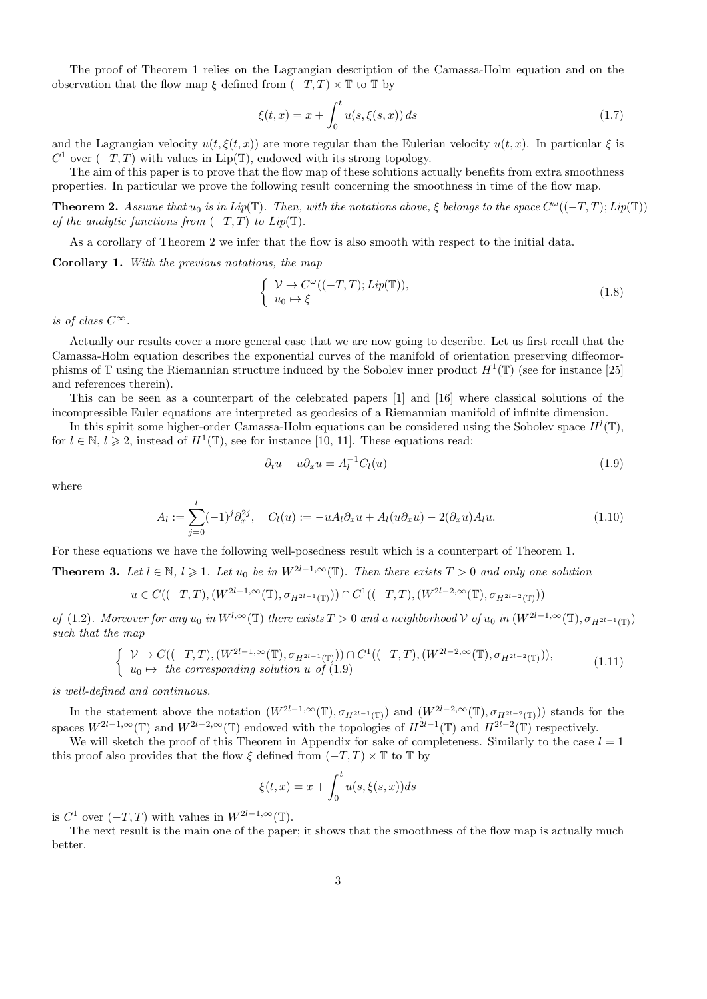The proof of Theorem 1 relies on the Lagrangian description of the Camassa-Holm equation and on the observation that the flow map  $\xi$  defined from  $(-T, T) \times \mathbb{T}$  to  $\mathbb{T}$  by

$$
\xi(t,x) = x + \int_0^t u(s,\xi(s,x)) \, ds \tag{1.7}
$$

and the Lagrangian velocity  $u(t,\xi(t,x))$  are more regular than the Eulerian velocity  $u(t,x)$ . In particular  $\xi$  is  $C^1$  over  $(-T, T)$  with values in Lip(T), endowed with its strong topology.

The aim of this paper is to prove that the flow map of these solutions actually benefits from extra smoothness properties. In particular we prove the following result concerning the smoothness in time of the flow map.

**Theorem 2.** Assume that  $u_0$  is in Lip( $\mathbb{T}$ ). Then, with the notations above,  $\xi$  belongs to the space  $C^{\omega}((-T,T); Lip(\mathbb{T}))$ of the analytic functions from  $(-T, T)$  to  $Lip(\mathbb{T})$ .

As a corollary of Theorem 2 we infer that the flow is also smooth with respect to the initial data.

Corollary 1. With the previous notations, the map

$$
\begin{cases}\n\mathcal{V} \to C^{\omega}((-T,T); Lip(\mathbb{T})), \\
u_0 \mapsto \xi\n\end{cases}
$$
\n(1.8)

is of class  $C^{\infty}$ .

Actually our results cover a more general case that we are now going to describe. Let us first recall that the Camassa-Holm equation describes the exponential curves of the manifold of orientation preserving diffeomorphisms of  $\mathbb T$  using the Riemannian structure induced by the Sobolev inner product  $H^1(\mathbb T)$  (see for instance [25] and references therein).

This can be seen as a counterpart of the celebrated papers [1] and [16] where classical solutions of the incompressible Euler equations are interpreted as geodesics of a Riemannian manifold of infinite dimension.

In this spirit some higher-order Camassa-Holm equations can be considered using the Sobolev space  $H^l(\mathbb{T})$ , for  $l \in \mathbb{N}, l \geq 2$ , instead of  $H^1(\mathbb{T})$ , see for instance [10, 11]. These equations read:

$$
\partial_t u + u \partial_x u = A_l^{-1} C_l(u) \tag{1.9}
$$

where

$$
A_l := \sum_{j=0}^l (-1)^j \partial_x^{2j}, \quad C_l(u) := -u A_l \partial_x u + A_l (u \partial_x u) - 2(\partial_x u) A_l u. \tag{1.10}
$$

For these equations we have the following well-posedness result which is a counterpart of Theorem 1.

**Theorem 3.** Let  $l \in \mathbb{N}$ ,  $l \geq 1$ . Let  $u_0$  be in  $W^{2l-1,\infty}(\mathbb{T})$ . Then there exists  $T > 0$  and only one solution

$$
u \in C((-T,T), (W^{2l-1,\infty}(\mathbb{T}), \sigma_{H^{2l-1}(\mathbb{T})})) \cap C^{1}((-T,T), (W^{2l-2,\infty}(\mathbb{T}), \sigma_{H^{2l-2}(\mathbb{T})}))
$$

of (1.2). Moreover for any  $u_0$  in  $W^{l,\infty}(\mathbb{T})$  there exists  $T > 0$  and a neighborhood V of  $u_0$  in  $(W^{2l-1,\infty}(\mathbb{T}), \sigma_{H^{2l-1}(\mathbb{T})})$ such that the map

$$
\begin{cases}\n\mathcal{V} \to C((-T,T),(W^{2l-1,\infty}(\mathbb{T}),\sigma_{H^{2l-1}(\mathbb{T})})) \cap C^1((-T,T),(W^{2l-2,\infty}(\mathbb{T}),\sigma_{H^{2l-2}(\mathbb{T})})),\\ u_0 \mapsto \text{ the corresponding solution } u \text{ of (1.9)}\n\end{cases} \tag{1.11}
$$

is well-defined and continuous.

In the statement above the notation  $(W^{2l-1,\infty}(\mathbb{T}), \sigma_{H^{2l-1}(\mathbb{T})})$  and  $(W^{2l-2,\infty}(\mathbb{T}), \sigma_{H^{2l-2}(\mathbb{T})})$  stands for the spaces  $W^{2l-1,\infty}(\mathbb{T})$  and  $W^{2l-2,\infty}(\mathbb{T})$  endowed with the topologies of  $H^{2l-1}(\mathbb{T})$  and  $H^{2l-2}(\mathbb{T})$  respectively.

We will sketch the proof of this Theorem in Appendix for sake of completeness. Similarly to the case  $l = 1$ this proof also provides that the flow  $\xi$  defined from  $(-T, T) \times \mathbb{T}$  to  $\mathbb{T}$  by

$$
\xi(t,x) = x + \int_0^t u(s,\xi(s,x))ds
$$

is  $C^1$  over  $(-T, T)$  with values in  $W^{2l-1,\infty}(\mathbb{T})$ .

The next result is the main one of the paper; it shows that the smoothness of the flow map is actually much better.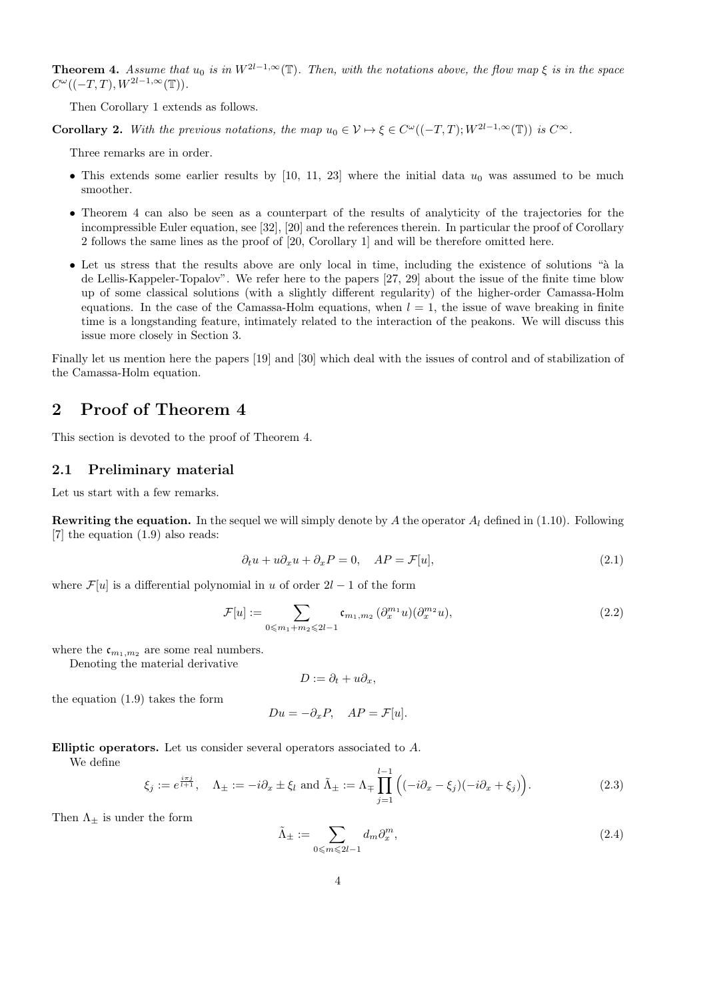**Theorem 4.** Assume that  $u_0$  is in  $W^{2l-1,\infty}(\mathbb{T})$ . Then, with the notations above, the flow map  $\xi$  is in the space  $C^{\omega}((-T,T),W^{2l-1,\infty}(\mathbb{T})).$ 

Then Corollary 1 extends as follows.

**Corollary 2.** With the previous notations, the map  $u_0 \in V \mapsto \xi \in C^{\omega}((-T,T); W^{2l-1,\infty}(\mathbb{T}))$  is  $C^{\infty}$ .

Three remarks are in order.

- This extends some earlier results by [10, 11, 23] where the initial data  $u_0$  was assumed to be much smoother.
- Theorem 4 can also be seen as a counterpart of the results of analyticity of the trajectories for the incompressible Euler equation, see [32], [20] and the references therein. In particular the proof of Corollary 2 follows the same lines as the proof of [20, Corollary 1] and will be therefore omitted here.
- Let us stress that the results above are only local in time, including the existence of solutions "à la de Lellis-Kappeler-Topalov". We refer here to the papers [27, 29] about the issue of the finite time blow up of some classical solutions (with a slightly different regularity) of the higher-order Camassa-Holm equations. In the case of the Camassa-Holm equations, when  $l = 1$ , the issue of wave breaking in finite time is a longstanding feature, intimately related to the interaction of the peakons. We will discuss this issue more closely in Section 3.

Finally let us mention here the papers [19] and [30] which deal with the issues of control and of stabilization of the Camassa-Holm equation.

## 2 Proof of Theorem 4

This section is devoted to the proof of Theorem 4.

#### 2.1 Preliminary material

Let us start with a few remarks.

**Rewriting the equation.** In the sequel we will simply denote by A the operator  $A<sub>l</sub>$  defined in (1.10). Following [7] the equation (1.9) also reads:

$$
\partial_t u + u \partial_x u + \partial_x P = 0, \quad AP = \mathcal{F}[u], \tag{2.1}
$$

where  $\mathcal{F}[u]$  is a differential polynomial in u of order  $2l-1$  of the form

$$
\mathcal{F}[u] := \sum_{0 \le m_1 + m_2 \le 2l - 1} \mathfrak{c}_{m_1, m_2} \left( \partial_x^{m_1} u \right) \left( \partial_x^{m_2} u \right), \tag{2.2}
$$

where the  $\mathfrak{c}_{m_1,m_2}$  are some real numbers.

Denoting the material derivative

$$
D:=\partial_t+u\partial_x,
$$

the equation (1.9) takes the form

$$
Du = -\partial_x P, \quad AP = \mathcal{F}[u].
$$

Elliptic operators. Let us consider several operators associated to A.

We define

$$
\xi_j := e^{\frac{i\pi j}{l+1}}, \quad \Lambda_{\pm} := -i\partial_x \pm \xi_l \text{ and } \tilde{\Lambda}_{\pm} := \Lambda_{\mp} \prod_{j=1}^{l-1} \Big( (-i\partial_x - \xi_j)(-i\partial_x + \xi_j) \Big). \tag{2.3}
$$

Then  $\Lambda_{\pm}$  is under the form

$$
\tilde{\Lambda}_{\pm} := \sum_{0 \le m \le 2l-1} d_m \partial_x^m,\tag{2.4}
$$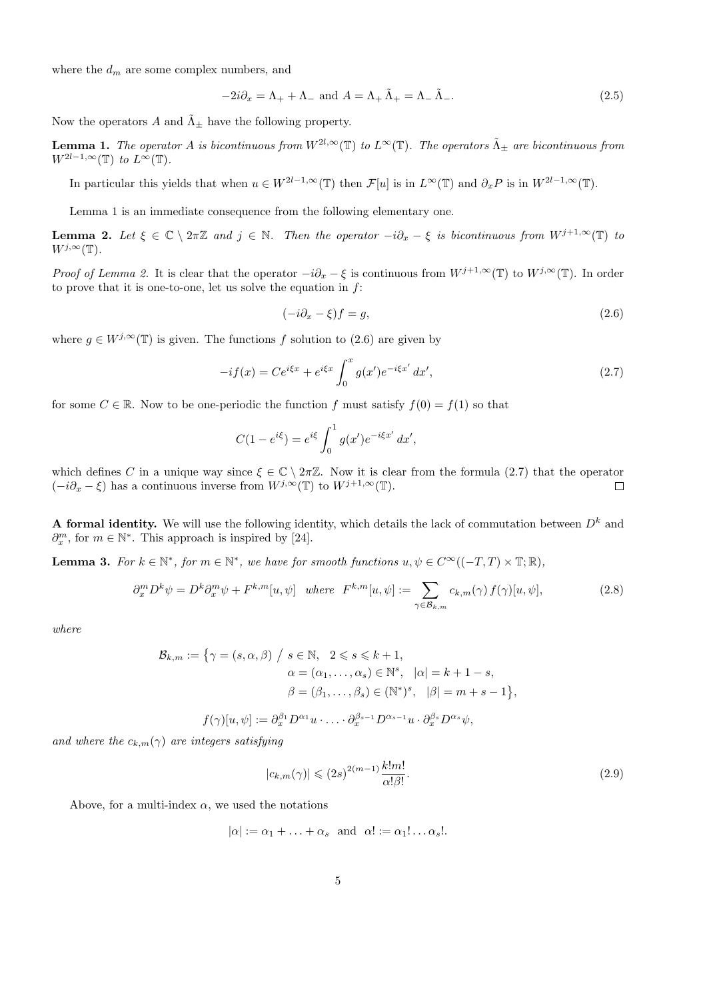where the  $d_m$  are some complex numbers, and

$$
-2i\partial_x = \Lambda_+ + \Lambda_- \text{ and } A = \Lambda_+ \tilde{\Lambda}_+ = \Lambda_- \tilde{\Lambda}_-. \tag{2.5}
$$

Now the operators A and  $\tilde{\Lambda}_{\pm}$  have the following property.

**Lemma 1.** The operator A is bicontinuous from  $W^{2l,\infty}(\mathbb{T})$  to  $L^{\infty}(\mathbb{T})$ . The operators  $\tilde{\Lambda}_{\pm}$  are bicontinuous from  $W^{2l-1,\infty}(\mathbb{T})$  to  $L^{\infty}(\mathbb{T})$ .

In particular this yields that when  $u \in W^{2l-1,\infty}(\mathbb{T})$  then  $\mathcal{F}[u]$  is in  $L^{\infty}(\mathbb{T})$  and  $\partial_x P$  is in  $W^{2l-1,\infty}(\mathbb{T})$ .

Lemma 1 is an immediate consequence from the following elementary one.

**Lemma 2.** Let  $\xi \in \mathbb{C} \setminus 2\pi\mathbb{Z}$  and  $j \in \mathbb{N}$ . Then the operator  $-i\partial_x - \xi$  is bicontinuous from  $W^{j+1,\infty}(\mathbb{T})$  to  $W^{j,\infty}(\mathbb{T}).$ 

Proof of Lemma 2. It is clear that the operator  $-i\partial_x - \xi$  is continuous from  $W^{j+1,\infty}(\mathbb{T})$  to  $W^{j,\infty}(\mathbb{T})$ . In order to prove that it is one-to-one, let us solve the equation in  $f$ :

$$
(-i\partial_x - \xi)f = g,\tag{2.6}
$$

where  $g \in W^{j,\infty}(\mathbb{T})$  is given. The functions f solution to (2.6) are given by

$$
-if(x) = Ce^{i\xi x} + e^{i\xi x} \int_0^x g(x')e^{-i\xi x'} dx',
$$
\n(2.7)

for some  $C \in \mathbb{R}$ . Now to be one-periodic the function f must satisfy  $f(0) = f(1)$  so that

$$
C(1 - e^{i\xi}) = e^{i\xi} \int_0^1 g(x') e^{-i\xi x'} dx',
$$

which defines C in a unique way since  $\xi \in \mathbb{C} \setminus 2\pi\mathbb{Z}$ . Now it is clear from the formula (2.7) that the operator  $(-i\partial_x - \xi)$  has a continuous inverse from  $W^{j,\infty}(\mathbb{T})$  to  $W^{j+1,\infty}(\mathbb{T})$ .  $\Box$ 

A formal identity. We will use the following identity, which details the lack of commutation between  $D<sup>k</sup>$  and  $\partial_x^m$ , for  $m \in \mathbb{N}^*$ . This approach is inspired by [24].

**Lemma 3.** For  $k \in \mathbb{N}^*$ , for  $m \in \mathbb{N}^*$ , we have for smooth functions  $u, \psi \in C^\infty((-T, T) \times \mathbb{T}; \mathbb{R})$ ,

$$
\partial_x^m D^k \psi = D^k \partial_x^m \psi + F^{k,m}[u, \psi] \quad \text{where} \quad F^{k,m}[u, \psi] := \sum_{\gamma \in \mathcal{B}_{k,m}} c_{k,m}(\gamma) f(\gamma)[u, \psi],\tag{2.8}
$$

where

$$
\mathcal{B}_{k,m} := \{ \gamma = (s, \alpha, \beta) \mid s \in \mathbb{N}, 2 \le s \le k+1, \alpha = (\alpha_1, \dots, \alpha_s) \in \mathbb{N}^s, |\alpha| = k+1-s, \beta = (\beta_1, \dots, \beta_s) \in (\mathbb{N}^*)^s, |\beta| = m+s-1 \}, f(\gamma)[u, \psi] := \partial_x^{\beta_1} D^{\alpha_1} u \cdot \dots \cdot \partial_x^{\beta_{s-1}} D^{\alpha_{s-1}} u \cdot \partial_x^{\beta_s} D^{\alpha_s} \psi,
$$

and where the  $c_{k,m}(\gamma)$  are integers satisfying

$$
|c_{k,m}(\gamma)| \leq (2s)^{2(m-1)} \frac{k!m!}{\alpha!\beta!}.
$$
\n(2.9)

Above, for a multi-index  $\alpha$ , we used the notations

$$
|\alpha| := \alpha_1 + \ldots + \alpha_s
$$
 and  $\alpha! := \alpha_1! \ldots \alpha_s!$ .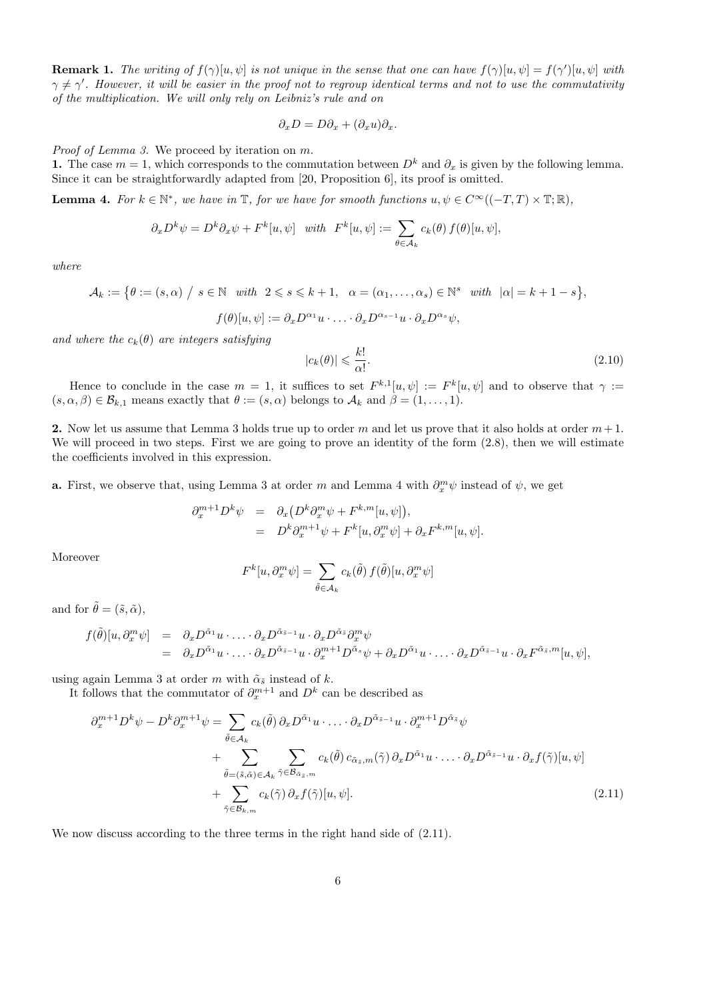**Remark 1.** The writing of  $f(\gamma)[u, \psi]$  is not unique in the sense that one can have  $f(\gamma)[u, \psi] = f(\gamma')[u, \psi]$  with  $\gamma \neq \gamma'$ . However, it will be easier in the proof not to regroup identical terms and not to use the commutativity of the multiplication. We will only rely on Leibniz's rule and on

$$
\partial_x D = D \partial_x + (\partial_x u) \partial_x.
$$

Proof of Lemma 3. We proceed by iteration on m.

1. The case  $m = 1$ , which corresponds to the commutation between  $D<sup>k</sup>$  and  $\partial_x$  is given by the following lemma. Since it can be straightforwardly adapted from [20, Proposition 6], its proof is omitted.

**Lemma 4.** For  $k \in \mathbb{N}^*$ , we have in  $\mathbb{T}$ , for we have for smooth functions  $u, \psi \in C^{\infty}((-T, T) \times \mathbb{T}; \mathbb{R})$ ,

$$
\partial_x D^k \psi = D^k \partial_x \psi + F^k[u, \psi] \quad with \quad F^k[u, \psi] := \sum_{\theta \in A_k} c_k(\theta) f(\theta)[u, \psi],
$$

where

$$
\mathcal{A}_k := \{ \theta := (s, \alpha) \mid s \in \mathbb{N} \text{ with } 2 \leq s \leq k+1, \ \alpha = (\alpha_1, \dots, \alpha_s) \in \mathbb{N}^s \text{ with } |\alpha| = k+1-s \},\
$$

$$
f(\theta)[u, \psi] := \partial_x D^{\alpha_1} u \cdot \dots \cdot \partial_x D^{\alpha_{s-1}} u \cdot \partial_x D^{\alpha_s} \psi,
$$

and where the  $c_k(\theta)$  are integers satisfying

$$
|c_k(\theta)| \leqslant \frac{k!}{\alpha!}.\tag{2.10}
$$

Hence to conclude in the case  $m = 1$ , it suffices to set  $F^{k,1}[u,\psi] := F^k[u,\psi]$  and to observe that  $\gamma :=$  $(s, \alpha, \beta) \in \mathcal{B}_{k,1}$  means exactly that  $\theta := (s, \alpha)$  belongs to  $\mathcal{A}_k$  and  $\beta = (1, \ldots, 1)$ .

2. Now let us assume that Lemma 3 holds true up to order m and let us prove that it also holds at order  $m+1$ . We will proceed in two steps. First we are going to prove an identity of the form  $(2.8)$ , then we will estimate the coefficients involved in this expression.

**a.** First, we observe that, using Lemma 3 at order m and Lemma 4 with  $\partial_x^m \psi$  instead of  $\psi$ , we get

$$
\partial_x^{m+1} D^k \psi = \partial_x \left( D^k \partial_x^m \psi + F^{k,m} [u, \psi] \right),
$$
  
= 
$$
D^k \partial_x^{m+1} \psi + F^k [u, \partial_x^m \psi] + \partial_x F^{k,m} [u, \psi].
$$

Moreover

$$
F^{k}[u, \partial_{x}^{m} \psi] = \sum_{\tilde{\theta} \in \mathcal{A}_{k}} c_{k}(\tilde{\theta}) f(\tilde{\theta}) [u, \partial_{x}^{m} \psi]
$$

and for  $\tilde{\theta} = (\tilde{s}, \tilde{\alpha})$ ,

$$
f(\tilde{\theta})[u,\partial_x^m \psi] = \partial_x D^{\tilde{\alpha}_1} u \cdot \ldots \cdot \partial_x D^{\tilde{\alpha}_{\tilde{s}-1}} u \cdot \partial_x D^{\tilde{\alpha}_{\tilde{s}}} \partial_x^m \psi
$$
  
=  $\partial_x D^{\tilde{\alpha}_1} u \cdot \ldots \cdot \partial_x D^{\tilde{\alpha}_{\tilde{s}-1}} u \cdot \partial_x^{m+1} D^{\tilde{\alpha}_{\tilde{s}}} \psi + \partial_x D^{\tilde{\alpha}_1} u \cdot \ldots \cdot \partial_x D^{\tilde{\alpha}_{\tilde{s}-1}} u \cdot \partial_x F^{\tilde{\alpha}_{\tilde{s}},m}[u,\psi],$ 

using again Lemma 3 at order  $m$  with  $\tilde{\alpha}_{\tilde{s}}$  instead of  $k.$ 

It follows that the commutator of  $\partial_x^{m+1}$  and  $D^k$  can be described as

$$
\partial_x^{m+1} D^k \psi - D^k \partial_x^{m+1} \psi = \sum_{\tilde{\theta} \in A_k} c_k(\tilde{\theta}) \partial_x D^{\tilde{\alpha}_1} u \cdot \dots \cdot \partial_x D^{\tilde{\alpha}_{\tilde{s}-1}} u \cdot \partial_x^{m+1} D^{\tilde{\alpha}_{\tilde{s}}} \psi + \sum_{\tilde{\theta} = (\tilde{s}, \tilde{\alpha}) \in A_k} \sum_{\tilde{\gamma} \in \mathcal{B}_{\tilde{\alpha}_{\tilde{s}}, m}} c_k(\tilde{\theta}) c_{\tilde{\alpha}_{\tilde{s}}, m}(\tilde{\gamma}) \partial_x D^{\tilde{\alpha}_1} u \cdot \dots \cdot \partial_x D^{\tilde{\alpha}_{\tilde{s}-1}} u \cdot \partial_x f(\tilde{\gamma}) [u, \psi] + \sum_{\tilde{\gamma} \in \mathcal{B}_{k, m}} c_k(\tilde{\gamma}) \partial_x f(\tilde{\gamma}) [u, \psi].
$$
\n(2.11)

We now discuss according to the three terms in the right hand side of (2.11).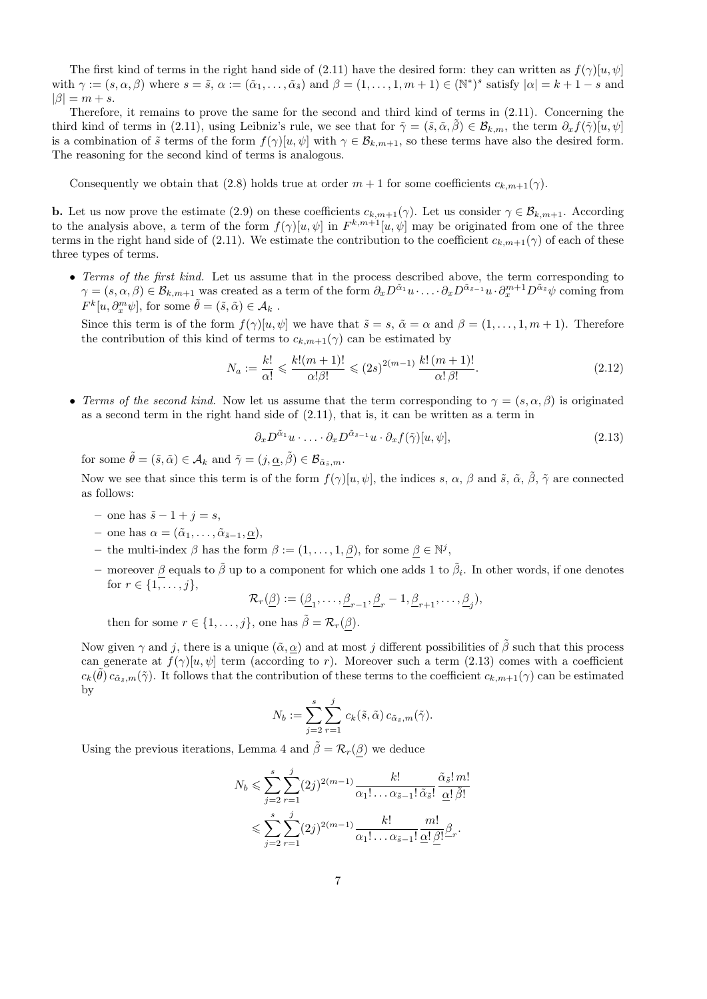The first kind of terms in the right hand side of (2.11) have the desired form: they can written as  $f(\gamma)[u, \psi]$ with  $\gamma := (s, \alpha, \beta)$  where  $s = \tilde{s}, \alpha := (\tilde{\alpha}_1, \dots, \tilde{\alpha}_{\tilde{s}})$  and  $\beta = (1, \dots, 1, m + 1) \in (\mathbb{N}^*)^s$  satisfy  $|\alpha| = k + 1 - s$  and  $|\beta| = m + s.$ 

Therefore, it remains to prove the same for the second and third kind of terms in (2.11). Concerning the third kind of terms in (2.11), using Leibniz's rule, we see that for  $\tilde{\gamma} = (\tilde{s}, \tilde{\alpha}, \tilde{\beta}) \in \mathcal{B}_{k,m}$ , the term  $\partial_x f(\tilde{\gamma})[u, \psi]$ is a combination of  $\tilde{s}$  terms of the form  $f(\gamma)[u, \psi]$  with  $\gamma \in \mathcal{B}_{k,m+1}$ , so these terms have also the desired form. The reasoning for the second kind of terms is analogous.

Consequently we obtain that (2.8) holds true at order  $m + 1$  for some coefficients  $c_{k,m+1}(\gamma)$ .

**b.** Let us now prove the estimate (2.9) on these coefficients  $c_{k,m+1}(\gamma)$ . Let us consider  $\gamma \in \mathcal{B}_{k,m+1}$ . According to the analysis above, a term of the form  $f(\gamma)[u, \psi]$  in  $F^{k,m+1}[u, \psi]$  may be originated from one of the three terms in the right hand side of (2.11). We estimate the contribution to the coefficient  $c_{k,m+1}(\gamma)$  of each of these three types of terms.

• Terms of the first kind. Let us assume that in the process described above, the term corresponding to  $\gamma = (s, \alpha, \beta) \in \mathcal{B}_{k,m+1}$  was created as a term of the form  $\partial_x D^{\tilde{\alpha}_1} u \cdot \ldots \cdot \partial_x D^{\tilde{\alpha}_{\tilde{s}-1}} u \cdot \partial_x^{m+1} D^{\tilde{\alpha}_{\tilde{s}}} \psi$  coming from  $F^k[u, \partial_x^m \psi],$  for some  $\tilde{\theta} = (\tilde{s}, \tilde{\alpha}) \in \mathcal{A}_k$ .

Since this term is of the form  $f(\gamma)[u, \psi]$  we have that  $\tilde{s} = s$ ,  $\tilde{\alpha} = \alpha$  and  $\beta = (1, \ldots, 1, m + 1)$ . Therefore the contribution of this kind of terms to  $c_{k,m+1}(\gamma)$  can be estimated by

$$
N_a := \frac{k!}{\alpha!} \leqslant \frac{k!(m+1)!}{\alpha!\beta!} \leqslant (2s)^{2(m-1)} \frac{k!(m+1)!}{\alpha!\beta!}.
$$
\n(2.12)

• Terms of the second kind. Now let us assume that the term corresponding to  $\gamma = (s, \alpha, \beta)$  is originated as a second term in the right hand side of (2.11), that is, it can be written as a term in

$$
\partial_x D^{\tilde{\alpha}_1} u \cdot \ldots \cdot \partial_x D^{\tilde{\alpha}_{\tilde{s}-1}} u \cdot \partial_x f(\tilde{\gamma}) [u, \psi], \qquad (2.13)
$$

for some  $\tilde{\theta} = (\tilde{s}, \tilde{\alpha}) \in \mathcal{A}_k$  and  $\tilde{\gamma} = (j, \underline{\alpha}, \tilde{\beta}) \in \mathcal{B}_{\tilde{\alpha}_{\tilde{s}}, m}$ .

Now we see that since this term is of the form  $f(\gamma)[u, \psi]$ , the indices s,  $\alpha$ ,  $\beta$  and  $\tilde{s}$ ,  $\tilde{\alpha}$ ,  $\tilde{\beta}$ ,  $\tilde{\gamma}$  are connected as follows:

- one has  $\tilde{s}$  1 + j = s,
- one has  $\alpha = (\tilde{\alpha}_1, \ldots, \tilde{\alpha}_{\tilde{s}-1}, \underline{\alpha}),$
- the multi-index  $\beta$  has the form  $\beta := (1, \ldots, 1, \beta)$ , for some  $\beta \in \mathbb{N}^j$ ,
- moreover  $\beta$  equals to  $\tilde{\beta}$  up to a component for which one adds 1 to  $\tilde{\beta}_i$ . In other words, if one denotes for  $r \in \{1, \ldots, j\},\$

$$
\mathcal{R}_r(\underline{\beta}) := (\underline{\beta}_1, \dots, \underline{\beta}_{r-1}, \underline{\beta}_r - 1, \underline{\beta}_{r+1}, \dots, \underline{\beta}_j),
$$

then for some  $r \in \{1, \ldots, j\}$ , one has  $\tilde{\beta} = \mathcal{R}_r(\beta)$ .

Now given  $\gamma$  and j, there is a unique  $(\tilde{\alpha}, \underline{\alpha})$  and at most j different possibilities of  $\tilde{\beta}$  such that this process can generate at  $f(\gamma)[u, \psi]$  term (according to r). Moreover such a term (2.13) comes with a coefficient  $c_k(\tilde{\theta}) c_{\tilde{\alpha}_{\tilde{s}},m}(\tilde{\gamma})$ . It follows that the contribution of these terms to the coefficient  $c_{k,m+1}(\gamma)$  can be estimated by

$$
N_b := \sum_{j=2}^s \sum_{r=1}^j c_k(\tilde{s}, \tilde{\alpha}) c_{\tilde{\alpha}_{\tilde{s}}, m}(\tilde{\gamma}).
$$

Using the previous iterations, Lemma 4 and  $\tilde{\beta} = \mathcal{R}_r(\beta)$  we deduce

$$
N_b \leqslant \sum_{j=2}^s \sum_{r=1}^j (2j)^{2(m-1)} \frac{k!}{\alpha_1! \dots \alpha_{\tilde{s}-1}! \tilde{\alpha}_{\tilde{s}}!} \frac{\tilde{\alpha}_{\tilde{s}}! \, m!}{\underline{\alpha}! \, \tilde{\beta}!} \leqslant \sum_{j=2}^s \sum_{r=1}^j (2j)^{2(m-1)} \frac{k!}{\alpha_1! \dots \alpha_{\tilde{s}-1}!} \frac{m!}{\underline{\alpha}! \, \underline{\beta}!} \underline{\beta}.
$$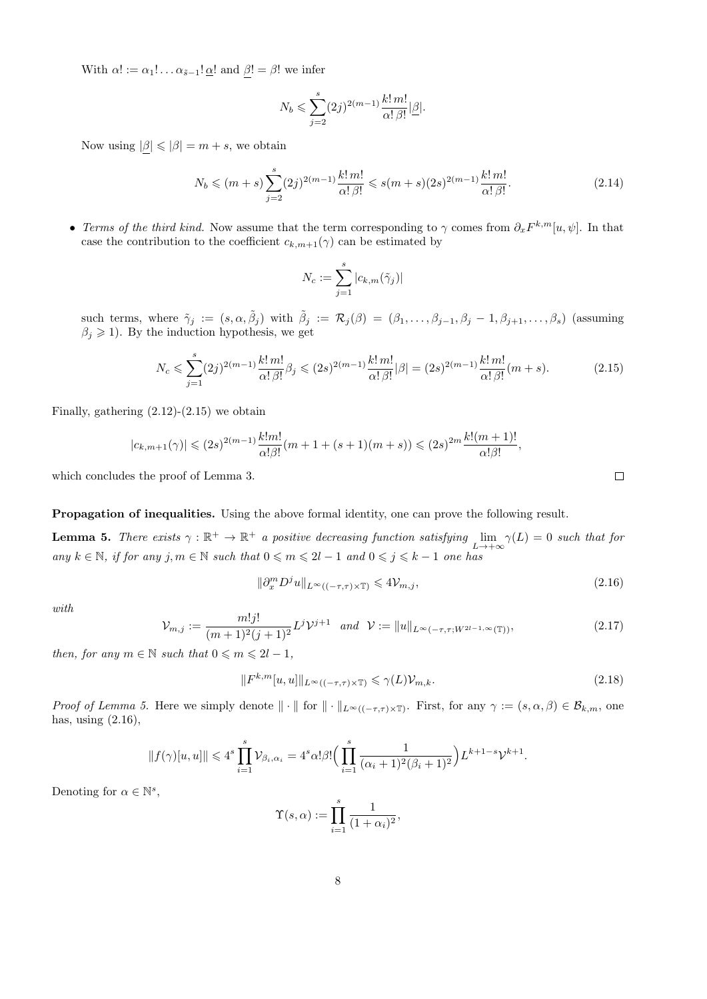With  $\alpha! := \alpha_1! \dots \alpha_{\tilde{s}-1}! \underline{\alpha}!$  and  $\beta! = \beta!$  we infer

$$
N_b\leqslant \sum_{j=2}^s (2j)^{2(m-1)}\frac{k!\,m!}{\alpha!\,\beta!}|\underline{\beta}|.
$$

Now using  $|\beta| \leq |\beta| = m + s$ , we obtain

$$
N_b \le (m+s) \sum_{j=2}^{s} (2j)^{2(m-1)} \frac{k! \, m!}{\alpha! \, \beta!} \le s(m+s)(2s)^{2(m-1)} \frac{k! \, m!}{\alpha! \, \beta!}.
$$
 (2.14)

• Terms of the third kind. Now assume that the term corresponding to  $\gamma$  comes from  $\partial_x F^{k,m}[u,\psi]$ . In that case the contribution to the coefficient  $c_{k,m+1}(\gamma)$  can be estimated by

$$
N_c:=\sum_{j=1}^s|c_{k,m}(\tilde{\gamma}_j)|
$$

such terms, where  $\tilde{\gamma}_j := (s, \alpha, \tilde{\beta}_j)$  with  $\tilde{\beta}_j := \mathcal{R}_j(\beta) = (\beta_1, \dots, \beta_{j-1}, \beta_j - 1, \beta_{j+1}, \dots, \beta_s)$  (assuming  $\beta_j\geqslant 1).$  By the induction hypothesis, we get

$$
N_c \leqslant \sum_{j=1}^s (2j)^{2(m-1)} \frac{k! \, m!}{\alpha! \, \beta!} \beta_j \leqslant (2s)^{2(m-1)} \frac{k! \, m!}{\alpha! \, \beta!} |\beta| = (2s)^{2(m-1)} \frac{k! \, m!}{\alpha! \, \beta!} (m+s). \tag{2.15}
$$

Finally, gathering  $(2.12)-(2.15)$  we obtain

$$
|c_{k,m+1}(\gamma)| \leq (2s)^{2(m-1)} \frac{k!m!}{\alpha! \beta!} (m+1+(s+1)(m+s)) \leq (2s)^{2m} \frac{k!(m+1)!}{\alpha! \beta!},
$$

which concludes the proof of Lemma 3.

#### Propagation of inequalities. Using the above formal identity, one can prove the following result.

**Lemma 5.** There exists  $\gamma : \mathbb{R}^+ \to \mathbb{R}^+$  a positive decreasing function satisfying  $\lim_{L \to +\infty} \gamma(L) = 0$  such that for any  $k \in \mathbb{N}$ , if for any j,  $m \in \mathbb{N}$  such that  $0 \leq m \leq 2l - 1$  and  $0 \leq j \leq k - 1$  one has

$$
\|\partial_x^m D^j u\|_{L^\infty((-\tau,\tau)\times \mathbb{T})} \leqslant 4\mathcal{V}_{m,j},\tag{2.16}
$$

with

$$
\mathcal{V}_{m,j} := \frac{m!j!}{(m+1)^2(j+1)^2} L^j \mathcal{V}^{j+1} \quad \text{and} \quad \mathcal{V} := \|u\|_{L^\infty(-\tau,\tau;W^{2l-1,\infty}(\mathbb{T}))},\tag{2.17}
$$

then, for any  $m \in \mathbb{N}$  such that  $0 \leq m \leq 2l - 1$ ,

$$
||F^{k,m}[u,u]||_{L^{\infty}((-\tau,\tau)\times\mathbb{T})} \leq \gamma(L)\mathcal{V}_{m,k}.
$$
\n(2.18)

*Proof of Lemma 5.* Here we simply denote  $\|\cdot\|$  for  $\|\cdot\|_{L^{\infty}((-\tau,\tau)\times\mathbb{T})}$ . First, for any  $\gamma := (s,\alpha,\beta) \in \mathcal{B}_{k,m}$ , one has, using (2.16),

$$
||f(\gamma)[u,u]|| \leq 4^s \prod_{i=1}^s \mathcal{V}_{\beta_i,\alpha_i} = 4^s \alpha! \beta! \Big( \prod_{i=1}^s \frac{1}{(\alpha_i+1)^2(\beta_i+1)^2} \Big) L^{k+1-s} \mathcal{V}^{k+1}.
$$

Denoting for  $\alpha \in \mathbb{N}^s$ ,

$$
\Upsilon(s,\alpha) := \prod_{i=1}^s \frac{1}{(1+\alpha_i)^2},
$$

 $\Box$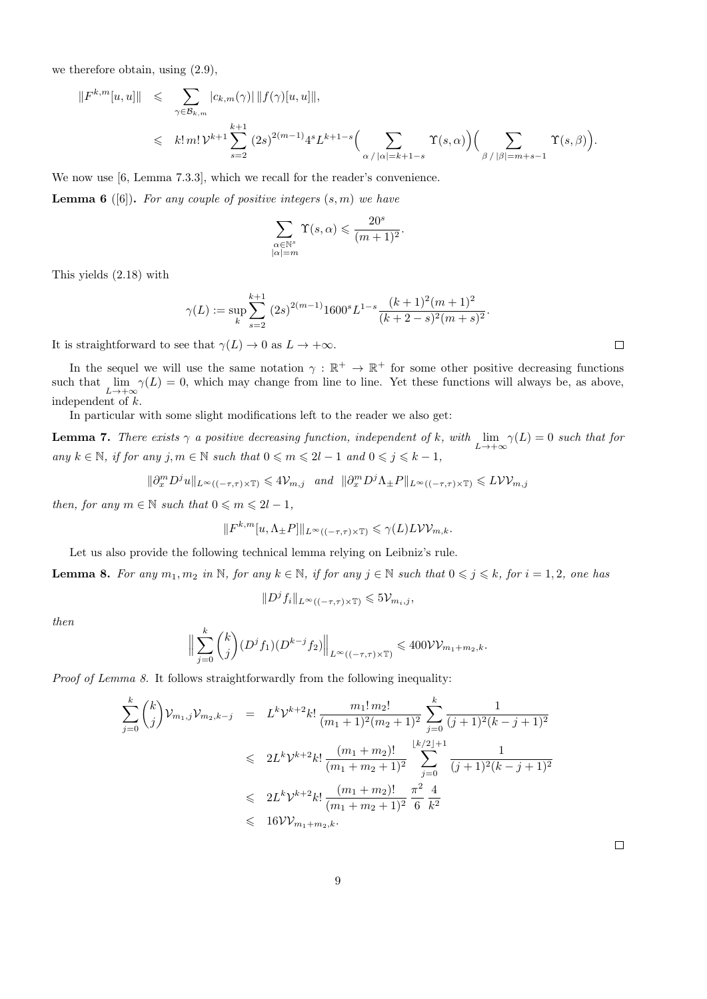we therefore obtain, using (2.9),

$$
||F^{k,m}[u,u]|| \leqslant \sum_{\gamma \in \mathcal{B}_{k,m}} |c_{k,m}(\gamma)| ||f(\gamma)[u,u]||,
$$
  

$$
\leqslant k! \, m! \, \mathcal{V}^{k+1} \sum_{s=2}^{k+1} (2s)^{2(m-1)} 4^s L^{k+1-s} \Big( \sum_{\alpha \, / \, |\alpha|=k+1-s} \Upsilon(s,\alpha) \Big) \Big( \sum_{\beta \, / \, |\beta|=m+s-1} \Upsilon(s,\beta) \Big).
$$

We now use [6, Lemma 7.3.3], which we recall for the reader's convenience.

**Lemma 6** ([6]). For any couple of positive integers  $(s, m)$  we have

$$
\sum_{\substack{\alpha \in \mathbb{N}^s \\ |\alpha| = m}} \Upsilon(s, \alpha) \leqslant \frac{20^s}{(m+1)^2}.
$$

This yields (2.18) with

$$
\gamma(L) := \sup_{k} \sum_{s=2}^{k+1} (2s)^{2(m-1)} 1600^{s} L^{1-s} \frac{(k+1)^{2}(m+1)^{2}}{(k+2-s)^{2}(m+s)^{2}}.
$$

It is straightforward to see that  $\gamma(L) \to 0$  as  $L \to +\infty$ .

In the sequel we will use the same notation  $\gamma : \mathbb{R}^+ \to \mathbb{R}^+$  for some other positive decreasing functions such that  $\lim_{L\to+\infty} \gamma(L) = 0$ , which may change from line to line. Yet these functions will always be, as above, independent of k.

In particular with some slight modifications left to the reader we also get:

**Lemma 7.** There exists  $\gamma$  a positive decreasing function, independent of k, with  $\lim_{L\to+\infty} \gamma(L) = 0$  such that for  $\label{eq:1} \textit{any } k \in \mathbb{N}, \; \textit{if for any } j,m \in \mathbb{N} \; \textit{such that} \; 0 \leqslant m \leqslant 2l-1 \; \textit{and} \; 0 \leqslant j \leqslant k-1,$ 

$$
\|\partial_x^m D^j u\|_{L^\infty((-\tau,\tau)\times\mathbb{T})} \leq 4\mathcal{V}_{m,j} \quad \text{and} \quad \|\partial_x^m D^j \Lambda_{\pm} P\|_{L^\infty((-\tau,\tau)\times\mathbb{T})} \leq L\mathcal{V}\mathcal{V}_{m,j}
$$

then, for any  $m \in \mathbb{N}$  such that  $0 \leq m \leq 2l - 1$ ,

$$
||F^{k,m}[u,\Lambda_{\pm}P]||_{L^{\infty}((-\tau,\tau)\times\mathbb{T})}\leqslant\gamma(L)L\mathcal{V}\mathcal{V}_{m,k}.
$$

Let us also provide the following technical lemma relying on Leibniz's rule.

**Lemma 8.** For any  $m_1, m_2$  in N, for any  $k \in \mathbb{N}$ , if for any  $j \in \mathbb{N}$  such that  $0 \leq j \leq k$ , for  $i = 1, 2$ , one has

 $||D^jf_i||_{L^{\infty}((-\tau,\tau)\times\mathbb{T})}\leqslant 5\mathcal{V}_{m_i,j},$ 

then

$$
\Big\|\sum_{j=0}^k \binom{k}{j} (D^j f_1)(D^{k-j} f_2)\Big\|_{L^\infty((-\tau,\tau)\times\mathbb{T})} \leqslant 400 \mathcal{V}\mathcal{V}_{m_1+m_2,k}.
$$

Proof of Lemma 8. It follows straightforwardly from the following inequality:

$$
\sum_{j=0}^{k} {k \choose j} \mathcal{V}_{m_1,j} \mathcal{V}_{m_2,k-j} = L^k \mathcal{V}^{k+2} k! \frac{m_1! m_2!}{(m_1+1)^2 (m_2+1)^2} \sum_{j=0}^{k} \frac{1}{(j+1)^2 (k-j+1)^2}
$$
  

$$
\leq 2L^k \mathcal{V}^{k+2} k! \frac{(m_1+m_2)!}{(m_1+m_2+1)^2} \sum_{j=0}^{\lfloor k/2 \rfloor + 1} \frac{1}{(j+1)^2 (k-j+1)^2}
$$
  

$$
\leq 2L^k \mathcal{V}^{k+2} k! \frac{(m_1+m_2)!}{(m_1+m_2+1)^2} \frac{\pi^2}{6} \frac{4}{k^2}
$$
  

$$
\leq 16 \mathcal{V} \mathcal{V}_{m_1+m_2,k}.
$$

 $\Box$ 

 $\Box$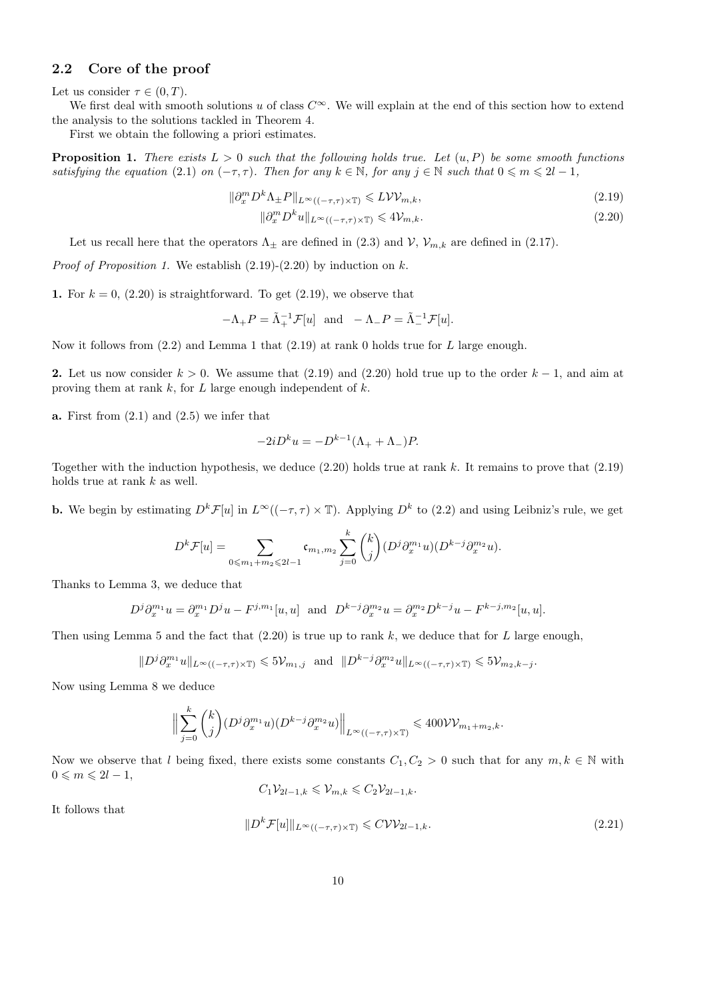#### 2.2 Core of the proof

Let us consider  $\tau \in (0, T)$ .

We first deal with smooth solutions u of class  $C^{\infty}$ . We will explain at the end of this section how to extend the analysis to the solutions tackled in Theorem 4.

First we obtain the following a priori estimates.

**Proposition 1.** There exists  $L > 0$  such that the following holds true. Let  $(u, P)$  be some smooth functions satisfying the equation (2.1) on  $(-\tau, \tau)$ . Then for any  $k \in \mathbb{N}$ , for any  $j \in \mathbb{N}$  such that  $0 \leq m \leq 2l - 1$ ,

$$
\|\partial_x^m D^k \Lambda_{\pm} P\|_{L^{\infty}((-\tau,\tau)\times \mathbb{T})} \leqslant L \mathcal{W}\mathcal{V}_{m,k},\tag{2.19}
$$

$$
\|\partial_x^m D^k u\|_{L^\infty((-\tau,\tau)\times \mathbb{T})} \leqslant 4\mathcal{V}_{m,k}.\tag{2.20}
$$

Let us recall here that the operators  $\Lambda_{\pm}$  are defined in (2.3) and  $\mathcal{V}, \mathcal{V}_{m,k}$  are defined in (2.17).

*Proof of Proposition 1.* We establish  $(2.19)-(2.20)$  by induction on k.

1. For  $k = 0$ , (2.20) is straightforward. To get (2.19), we observe that

$$
-\Lambda_+ P = \tilde{\Lambda}_+^{-1} \mathcal{F}[u] \text{ and } -\Lambda_- P = \tilde{\Lambda}_-^{-1} \mathcal{F}[u].
$$

Now it follows from  $(2.2)$  and Lemma 1 that  $(2.19)$  at rank 0 holds true for L large enough.

2. Let us now consider  $k > 0$ . We assume that (2.19) and (2.20) hold true up to the order  $k - 1$ , and aim at proving them at rank  $k$ , for  $L$  large enough independent of  $k$ .

**a.** First from  $(2.1)$  and  $(2.5)$  we infer that

$$
-2iD^k u = -D^{k-1}(\Lambda_+ + \Lambda_-)P.
$$

Together with the induction hypothesis, we deduce  $(2.20)$  holds true at rank k. It remains to prove that  $(2.19)$ holds true at rank  $k$  as well.

**b.** We begin by estimating  $D^k \mathcal{F}[u]$  in  $L^\infty((-\tau,\tau) \times \mathbb{T})$ . Applying  $D^k$  to (2.2) and using Leibniz's rule, we get

$$
D^{k}\mathcal{F}[u] = \sum_{0 \leq m_{1}+m_{2} \leq 2l-1} \mathfrak{c}_{m_{1},m_{2}} \sum_{j=0}^{k} {k \choose j} (D^{j} \partial_{x}^{m_{1}} u)(D^{k-j} \partial_{x}^{m_{2}} u).
$$

Thanks to Lemma 3, we deduce that

$$
D^{j}\partial_{x}^{m_{1}}u = \partial_{x}^{m_{1}}D^{j}u - F^{j,m_{1}}[u,u] \text{ and } D^{k-j}\partial_{x}^{m_{2}}u = \partial_{x}^{m_{2}}D^{k-j}u - F^{k-j,m_{2}}[u,u].
$$

Then using Lemma 5 and the fact that  $(2.20)$  is true up to rank k, we deduce that for L large enough,

$$
||D^j \partial_x^{m_1} u||_{L^{\infty}((-\tau,\tau)\times \mathbb{T})} \leqslant 5\mathcal{V}_{m_1,j} \text{ and } ||D^{k-j} \partial_x^{m_2} u||_{L^{\infty}((-\tau,\tau)\times \mathbb{T})} \leqslant 5\mathcal{V}_{m_2,k-j}.
$$

Now using Lemma 8 we deduce

$$
\Big\|\sum_{j=0}^k \binom{k}{j} (D^j \partial_x^{m_1} u)(D^{k-j} \partial_x^{m_2} u)\Big\|_{L^\infty((-\tau,\tau)\times \mathbb{T})} \leq 400 \mathcal{V} \mathcal{V}_{m_1+m_2,k}.
$$

Now we observe that l being fixed, there exists some constants  $C_1, C_2 > 0$  such that for any  $m, k \in \mathbb{N}$  with  $0 \leqslant m \leqslant 2l-1$ ,

$$
C_1 \mathcal{V}_{2l-1,k} \leq \mathcal{V}_{m,k} \leq C_2 \mathcal{V}_{2l-1,k}.
$$

It follows that

$$
||D^k \mathcal{F}[u]||_{L^\infty((-\tau,\tau)\times \mathbb{T})} \leqslant C \mathcal{V} \mathcal{V}_{2l-1,k}.
$$
\n
$$
(2.21)
$$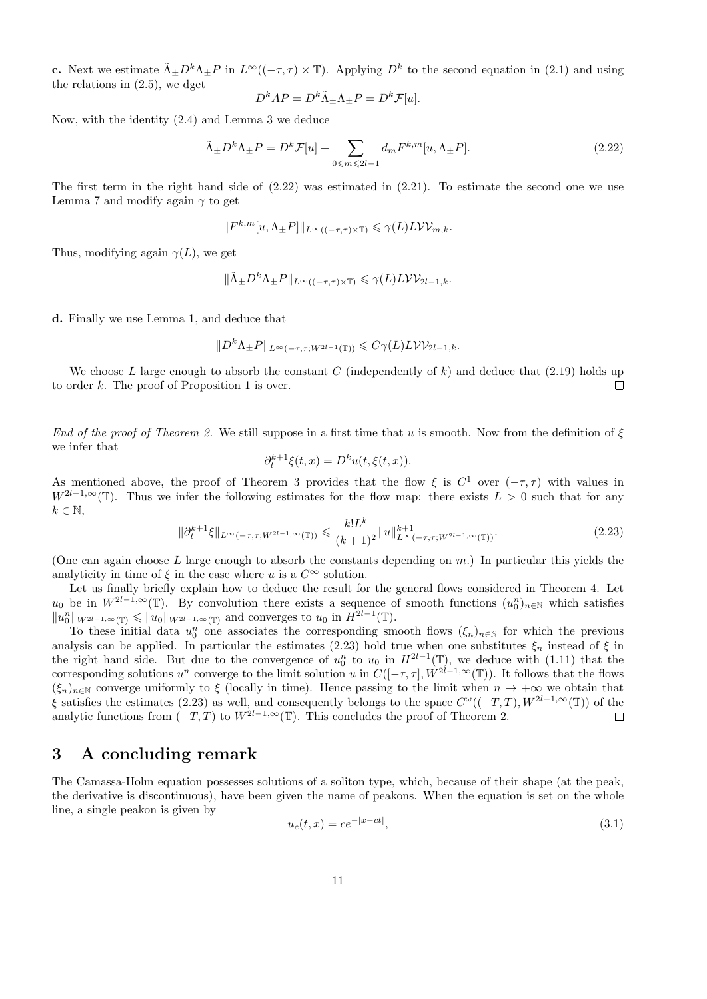**c.** Next we estimate  $\tilde{\Lambda}_{\pm} D^k \Lambda_{\pm} P$  in  $L^{\infty}((-\tau,\tau) \times \mathbb{T})$ . Applying  $D^k$  to the second equation in (2.1) and using the relations in (2.5), we dget

$$
D^{k}AP = D^{k}\tilde{\Lambda}_{\pm}\Lambda_{\pm}P = D^{k}\mathcal{F}[u].
$$

Now, with the identity (2.4) and Lemma 3 we deduce

$$
\tilde{\Lambda}_{\pm}D^k\Lambda_{\pm}P = D^k\mathcal{F}[u] + \sum_{0 \le m \le 2l-1} d_m F^{k,m}[u, \Lambda_{\pm}P].
$$
\n(2.22)

The first term in the right hand side of  $(2.22)$  was estimated in  $(2.21)$ . To estimate the second one we use Lemma 7 and modify again  $\gamma$  to get

$$
\|F^{k,m}[u,\Lambda_\pm P]\|_{L^\infty((-\tau,\tau)\times\mathbb{T})}\leqslant \gamma(L)L\mathcal{V}\mathcal{V}_{m,k}.
$$

Thus, modifying again  $\gamma(L)$ , we get

$$
\|\tilde{\Lambda}_{\pm}D^k\Lambda_{\pm}P\|_{L^{\infty}((-\tau,\tau)\times\mathbb{T})}\leqslant\gamma(L)L\mathcal{W}_{2l-1,k}.
$$

d. Finally we use Lemma 1, and deduce that

$$
||D^k \Lambda_{\pm} P||_{L^{\infty}(-\tau,\tau;W^{2l-1}(\mathbb{T}))} \leqslant C\gamma(L)L\mathcal{V}\mathcal{V}_{2l-1,k}.
$$

We choose L large enough to absorb the constant C (independently of k) and deduce that  $(2.19)$  holds up to order k. The proof of Proposition 1 is over.  $\Box$ 

End of the proof of Theorem 2. We still suppose in a first time that u is smooth. Now from the definition of  $\xi$ we infer that

$$
\partial_t^{k+1}\xi(t,x) = D^k u(t,\xi(t,x)).
$$

As mentioned above, the proof of Theorem 3 provides that the flow  $\xi$  is  $C^1$  over  $(-\tau, \tau)$  with values in  $W^{2l-1,\infty}(\mathbb{T})$ . Thus we infer the following estimates for the flow map: there exists  $L > 0$  such that for any  $k \in \mathbb{N}$ ,

$$
\|\partial_t^{k+1}\xi\|_{L^{\infty}(-\tau,\tau;W^{2l-1,\infty}(\mathbb{T}))} \leq \frac{k!L^k}{(k+1)^2} \|u\|_{L^{\infty}(-\tau,\tau;W^{2l-1,\infty}(\mathbb{T}))}^{k+1}.
$$
\n(2.23)

(One can again choose L large enough to absorb the constants depending on  $m$ .) In particular this yields the analyticity in time of  $\xi$  in the case where u is a  $C^{\infty}$  solution.

Let us finally briefly explain how to deduce the result for the general flows considered in Theorem 4. Let  $u_0$  be in  $W^{2l-1,\infty}(\mathbb{T})$ . By convolution there exists a sequence of smooth functions  $(u_0^n)_{n\in\mathbb{N}}$  which satisfies  $||u_0^n||_{W^{2l-1,\infty}(\mathbb{T})} \le ||u_0||_{W^{2l-1,\infty}(\mathbb{T})}$  and converges to  $u_0$  in  $H^{2l-1}(\mathbb{T})$ .

To these initial data  $u_0^n$  one associates the corresponding smooth flows  $(\xi_n)_{n\in\mathbb{N}}$  for which the previous analysis can be applied. In particular the estimates (2.23) hold true when one substitutes  $\xi_n$  instead of  $\xi$  in the right hand side. But due to the convergence of  $u_0^n$  to  $u_0$  in  $H^{2l-1}(\mathbb{T})$ , we deduce with (1.11) that the corresponding solutions  $u^n$  converge to the limit solution u in  $C([-\tau, \tau], W^{2l-1,\infty}(\mathbb{T}))$ . It follows that the flows  $(\xi_n)_{n\in\mathbb{N}}$  converge uniformly to  $\xi$  (locally in time). Hence passing to the limit when  $n \to +\infty$  we obtain that  $\xi$  satisfies the estimates (2.23) as well, and consequently belongs to the space  $C^{\omega}((-T,T), W^{2l-1,\infty}(T))$  of the analytic functions from  $(-T, T)$  to  $W^{2l-1,\infty}(\mathbb{T})$ . This concludes the proof of Theorem 2.  $\Box$ 

## 3 A concluding remark

The Camassa-Holm equation possesses solutions of a soliton type, which, because of their shape (at the peak, the derivative is discontinuous), have been given the name of peakons. When the equation is set on the whole line, a single peakon is given by

$$
u_c(t, x) = ce^{-|x - ct|},
$$
\n(3.1)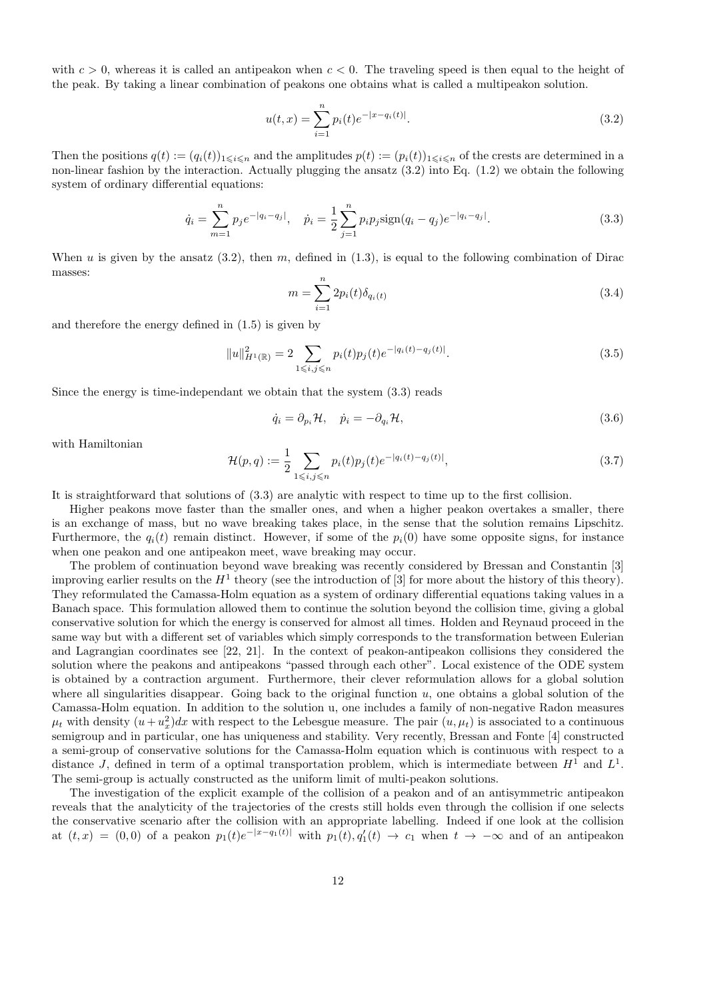with  $c > 0$ , whereas it is called an antipeakon when  $c < 0$ . The traveling speed is then equal to the height of the peak. By taking a linear combination of peakons one obtains what is called a multipeakon solution.

$$
u(t,x) = \sum_{i=1}^{n} p_i(t)e^{-|x-q_i(t)|}.
$$
\n(3.2)

Then the positions  $q(t) := (q_i(t))_{1 \leq i \leq n}$  and the amplitudes  $p(t) := (p_i(t))_{1 \leq i \leq n}$  of the crests are determined in a non-linear fashion by the interaction. Actually plugging the ansatz (3.2) into Eq. (1.2) we obtain the following system of ordinary differential equations:

$$
\dot{q}_i = \sum_{m=1}^n p_j e^{-|q_i - q_j|}, \quad \dot{p}_i = \frac{1}{2} \sum_{j=1}^n p_i p_j \text{sign}(q_i - q_j) e^{-|q_i - q_j|}.
$$
\n(3.3)

When u is given by the ansatz  $(3.2)$ , then m, defined in  $(1.3)$ , is equal to the following combination of Dirac masses:

$$
m = \sum_{i=1}^{n} 2p_i(t)\delta_{q_i(t)}
$$
\n(3.4)

and therefore the energy defined in (1.5) is given by

$$
||u||_{H^1(\mathbb{R})}^2 = 2 \sum_{1 \le i,j \le n} p_i(t)p_j(t)e^{-|q_i(t) - q_j(t)|}.
$$
\n(3.5)

Since the energy is time-independant we obtain that the system (3.3) reads

$$
\dot{q}_i = \partial_{p_i} \mathcal{H}, \quad \dot{p}_i = -\partial_{q_i} \mathcal{H}, \tag{3.6}
$$

with Hamiltonian

$$
\mathcal{H}(p,q) := \frac{1}{2} \sum_{1 \le i,j \le n} p_i(t) p_j(t) e^{-|q_i(t) - q_j(t)|}, \tag{3.7}
$$

It is straightforward that solutions of (3.3) are analytic with respect to time up to the first collision.

Higher peakons move faster than the smaller ones, and when a higher peakon overtakes a smaller, there is an exchange of mass, but no wave breaking takes place, in the sense that the solution remains Lipschitz. Furthermore, the  $q_i(t)$  remain distinct. However, if some of the  $p_i(0)$  have some opposite signs, for instance when one peakon and one antipeakon meet, wave breaking may occur.

The problem of continuation beyond wave breaking was recently considered by Bressan and Constantin [3] improving earlier results on the  $H^1$  theory (see the introduction of [3] for more about the history of this theory). They reformulated the Camassa-Holm equation as a system of ordinary differential equations taking values in a Banach space. This formulation allowed them to continue the solution beyond the collision time, giving a global conservative solution for which the energy is conserved for almost all times. Holden and Reynaud proceed in the same way but with a different set of variables which simply corresponds to the transformation between Eulerian and Lagrangian coordinates see [22, 21]. In the context of peakon-antipeakon collisions they considered the solution where the peakons and antipeakons "passed through each other". Local existence of the ODE system is obtained by a contraction argument. Furthermore, their clever reformulation allows for a global solution where all singularities disappear. Going back to the original function  $u$ , one obtains a global solution of the Camassa-Holm equation. In addition to the solution u, one includes a family of non-negative Radon measures  $\mu_t$  with density  $(u + u_x^2)dx$  with respect to the Lebesgue measure. The pair  $(u, \mu_t)$  is associated to a continuous semigroup and in particular, one has uniqueness and stability. Very recently, Bressan and Fonte [4] constructed a semi-group of conservative solutions for the Camassa-Holm equation which is continuous with respect to a distance J, defined in term of a optimal transportation problem, which is intermediate between  $H^1$  and  $L^1$ . The semi-group is actually constructed as the uniform limit of multi-peakon solutions.

The investigation of the explicit example of the collision of a peakon and of an antisymmetric antipeakon reveals that the analyticity of the trajectories of the crests still holds even through the collision if one selects the conservative scenario after the collision with an appropriate labelling. Indeed if one look at the collision at  $(t, x) = (0, 0)$  of a peakon  $p_1(t)e^{-|x-q_1(t)|}$  with  $p_1(t), q'_1(t) \rightarrow c_1$  when  $t \rightarrow -\infty$  and of an antipeakon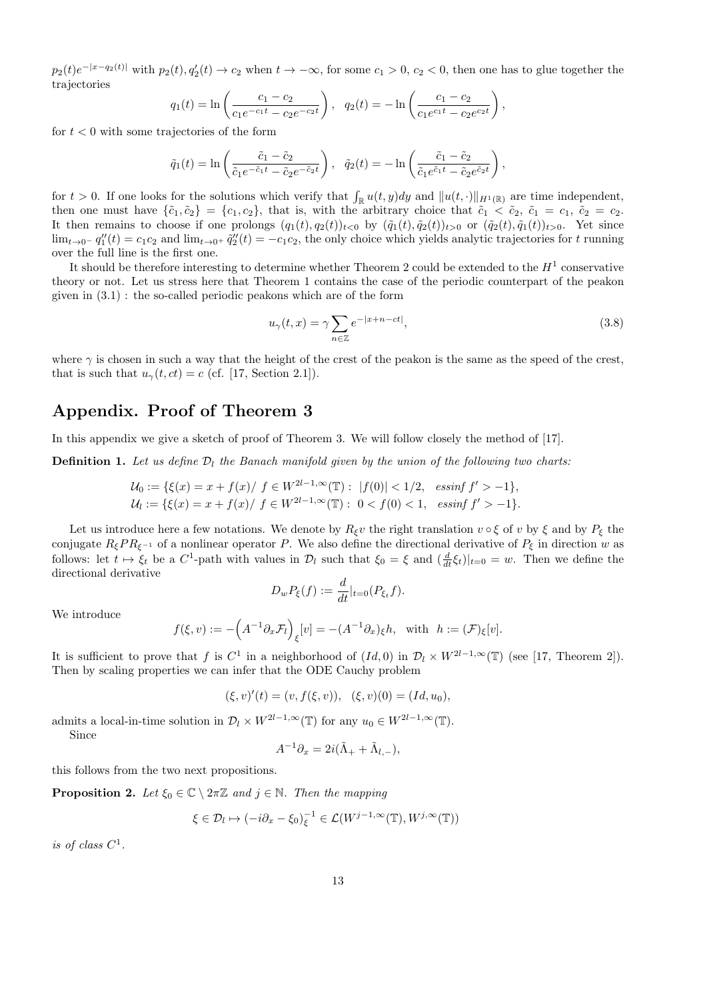$p_2(t)e^{-|x-q_2(t)|}$  with  $p_2(t), q_2'(t) \to c_2$  when  $t \to -\infty$ , for some  $c_1 > 0$ ,  $c_2 < 0$ , then one has to glue together the trajectories

$$
q_1(t) = \ln\left(\frac{c_1 - c_2}{c_1 e^{-c_1 t} - c_2 e^{-c_2 t}}\right), \quad q_2(t) = -\ln\left(\frac{c_1 - c_2}{c_1 e^{c_1 t} - c_2 e^{c_2 t}}\right),
$$

for  $t < 0$  with some trajectories of the form

$$
\tilde{q}_1(t) = \ln\left(\frac{\tilde{c}_1 - \tilde{c}_2}{\tilde{c}_1 e^{-\tilde{c}_1 t} - \tilde{c}_2 e^{-\tilde{c}_2 t}}\right), \quad \tilde{q}_2(t) = -\ln\left(\frac{\tilde{c}_1 - \tilde{c}_2}{\tilde{c}_1 e^{\tilde{c}_1 t} - \tilde{c}_2 e^{\tilde{c}_2 t}}\right),
$$

for  $t > 0$ . If one looks for the solutions which verify that  $\int_{\mathbb{R}} u(t, y) dy$  and  $||u(t, \cdot)||_{H^1(\mathbb{R})}$  are time independent, then one must have  $\{\tilde{c}_1, \tilde{c}_2\} = \{c_1, c_2\}$ , that is, with the arbitrary choice that  $\tilde{c}_1 < \tilde{c}_2$ ,  $\tilde{c}_1 = c_1$ ,  $\tilde{c}_2 = c_2$ . It then remains to choose if one prolongs  $(q_1(t), q_2(t))_{t<0}$  by  $(\tilde{q}_1(t), \tilde{q}_2(t))_{t>0}$  or  $(\tilde{q}_2(t), \tilde{q}_1(t))_{t>0}$ . Yet since  $\lim_{t\to 0^-} q_1''(t) = c_1c_2$  and  $\lim_{t\to 0^+} \tilde{q}_2''(t) = -c_1c_2$ , the only choice which yields analytic trajectories for t running over the full line is the first one.

It should be therefore interesting to determine whether Theorem 2 could be extended to the  $H^1$  conservative theory or not. Let us stress here that Theorem 1 contains the case of the periodic counterpart of the peakon given in (3.1) : the so-called periodic peakons which are of the form

$$
u_{\gamma}(t,x) = \gamma \sum_{n \in \mathbb{Z}} e^{-|x+n-ct|}, \tag{3.8}
$$

where  $\gamma$  is chosen in such a way that the height of the crest of the peakon is the same as the speed of the crest, that is such that  $u_{\gamma}(t, ct) = c$  (cf. [17, Section 2.1]).

## Appendix. Proof of Theorem 3

In this appendix we give a sketch of proof of Theorem 3. We will follow closely the method of [17].

**Definition 1.** Let us define  $\mathcal{D}_l$  the Banach manifold given by the union of the following two charts:

$$
\mathcal{U}_0 := \{ \xi(x) = x + f(x) / f \in W^{2l-1,\infty}(\mathbb{T}) : |f(0)| < 1/2, \text{essinf } f' > -1 \},
$$
  

$$
\mathcal{U}_l := \{ \xi(x) = x + f(x) / f \in W^{2l-1,\infty}(\mathbb{T}) : 0 < f(0) < 1, \text{essinf } f' > -1 \}.
$$

Let us introduce here a few notations. We denote by  $R_{\xi}v$  the right translation  $v \circ \xi$  of v by  $\xi$  and by  $P_{\xi}$  the conjugate  $R_{\xi}PR_{\xi-1}$  of a nonlinear operator P. We also define the directional derivative of  $P_{\xi}$  in direction w as follows: let  $t \mapsto \xi_t$  be a  $C^1$ -path with values in  $\mathcal{D}_l$  such that  $\xi_0 = \xi$  and  $(\frac{d}{dt}\xi_t)|_{t=0} = w$ . Then we define the directional derivative

$$
D_w P_{\xi}(f) := \frac{d}{dt}|_{t=0}(P_{\xi_t}f).
$$

We introduce

$$
f(\xi, v) := -\left(A^{-1}\partial_x \mathcal{F}_l\right)_{\xi}[v] = -(A^{-1}\partial_x)_{\xi}h, \text{ with } h := (\mathcal{F})_{\xi}[v].
$$

It is sufficient to prove that f is  $C^1$  in a neighborhood of  $(Id, 0)$  in  $\mathcal{D}_l \times W^{2l-1,\infty}(\mathbb{T})$  (see [17, Theorem 2]). Then by scaling properties we can infer that the ODE Cauchy problem

$$
(\xi, v)'(t) = (v, f(\xi, v)), \quad (\xi, v)(0) = (Id, u_0),
$$

admits a local-in-time solution in  $\mathcal{D}_l \times W^{2l-1,\infty}(\mathbb{T})$  for any  $u_0 \in W^{2l-1,\infty}(\mathbb{T})$ . Since

$$
A^{-1}\partial_x = 2i(\tilde{\Lambda}_+ + \tilde{\Lambda}_{l,-}),
$$

this follows from the two next propositions.

**Proposition 2.** Let  $\xi_0 \in \mathbb{C} \setminus 2\pi\mathbb{Z}$  and  $j \in \mathbb{N}$ . Then the mapping

$$
\xi \in \mathcal{D}_l \mapsto (-i\partial_x - \xi_0)_{\xi}^{-1} \in \mathcal{L}(W^{j-1,\infty}(\mathbb{T}), W^{j,\infty}(\mathbb{T}))
$$

is of class  $C^1$ .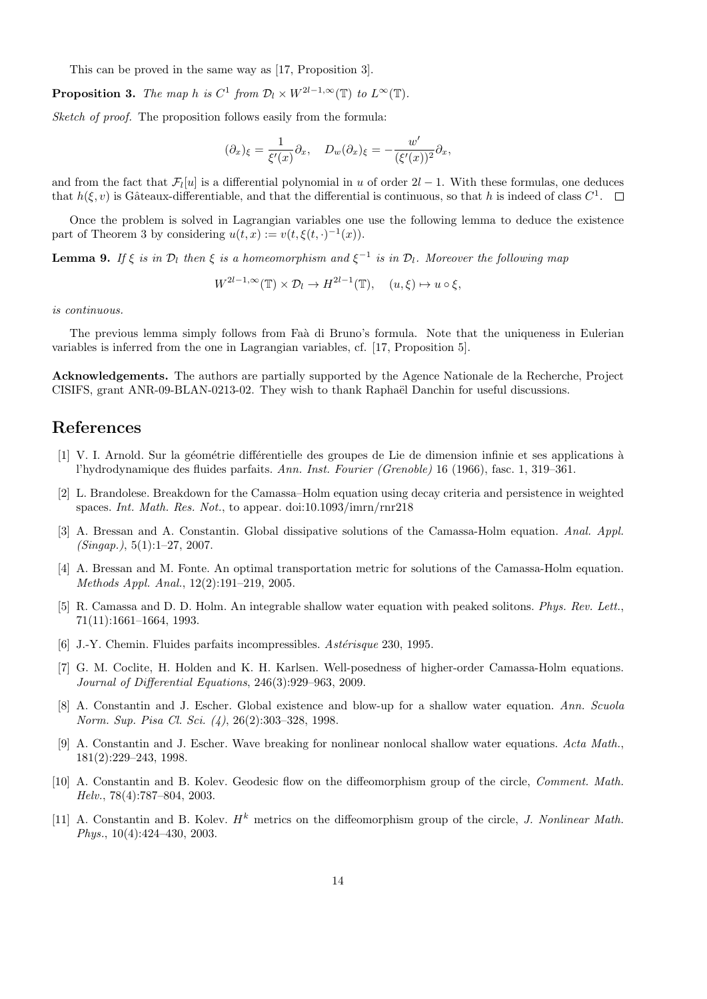This can be proved in the same way as [17, Proposition 3].

**Proposition 3.** The map h is  $C^1$  from  $\mathcal{D}_l \times W^{2l-1,\infty}(\mathbb{T})$  to  $L^{\infty}(\mathbb{T})$ .

Sketch of proof. The proposition follows easily from the formula:

$$
(\partial_x)_{\xi} = \frac{1}{\xi'(x)} \partial_x, \quad D_w(\partial_x)_{\xi} = -\frac{w'}{(\xi'(x))^2} \partial_x,
$$

and from the fact that  $\mathcal{F}_l[u]$  is a differential polynomial in u of order  $2l-1$ . With these formulas, one deduces that  $h(\xi, v)$  is Gâteaux-differentiable, and that the differential is continuous, so that h is indeed of class  $C^1$ .

Once the problem is solved in Lagrangian variables one use the following lemma to deduce the existence part of Theorem 3 by considering  $u(t, x) := v(t, \xi(t, \cdot)^{-1}(x)).$ 

**Lemma 9.** If  $\xi$  is in  $\mathcal{D}_l$  then  $\xi$  is a homeomorphism and  $\xi^{-1}$  is in  $\mathcal{D}_l$ . Moreover the following map

$$
W^{2l-1,\infty}(\mathbb{T}) \times \mathcal{D}_l \to H^{2l-1}(\mathbb{T}), \quad (u,\xi) \mapsto u \circ \xi,
$$

is continuous.

The previous lemma simply follows from Faà di Bruno's formula. Note that the uniqueness in Eulerian variables is inferred from the one in Lagrangian variables, cf. [17, Proposition 5].

Acknowledgements. The authors are partially supported by the Agence Nationale de la Recherche, Project CISIFS, grant ANR-09-BLAN-0213-02. They wish to thank Raphaël Danchin for useful discussions.

### References

- [1] V. I. Arnold. Sur la géométrie différentielle des groupes de Lie de dimension infinie et ses applications à l'hydrodynamique des fluides parfaits. Ann. Inst. Fourier (Grenoble) 16 (1966), fasc. 1, 319–361.
- [2] L. Brandolese. Breakdown for the Camassa–Holm equation using decay criteria and persistence in weighted spaces. Int. Math. Res. Not., to appear. doi:10.1093/imrn/rnr218
- [3] A. Bressan and A. Constantin. Global dissipative solutions of the Camassa-Holm equation. Anal. Appl.  $(Singap.)$ , 5(1):1–27, 2007.
- [4] A. Bressan and M. Fonte. An optimal transportation metric for solutions of the Camassa-Holm equation. Methods Appl. Anal., 12(2):191–219, 2005.
- [5] R. Camassa and D. D. Holm. An integrable shallow water equation with peaked solitons. Phys. Rev. Lett., 71(11):1661–1664, 1993.
- [6] J.-Y. Chemin. Fluides parfaits incompressibles.  $Ast\acute{e}risque$  230, 1995.
- [7] G. M. Coclite, H. Holden and K. H. Karlsen. Well-posedness of higher-order Camassa-Holm equations. Journal of Differential Equations, 246(3):929–963, 2009.
- [8] A. Constantin and J. Escher. Global existence and blow-up for a shallow water equation. Ann. Scuola Norm. Sup. Pisa Cl. Sci. (4), 26(2):303–328, 1998.
- [9] A. Constantin and J. Escher. Wave breaking for nonlinear nonlocal shallow water equations. Acta Math., 181(2):229–243, 1998.
- [10] A. Constantin and B. Kolev. Geodesic flow on the diffeomorphism group of the circle, Comment. Math. Helv., 78(4):787–804, 2003.
- [11] A. Constantin and B. Koley.  $H^k$  metrics on the diffeomorphism group of the circle, J. Nonlinear Math. Phys., 10(4):424–430, 2003.